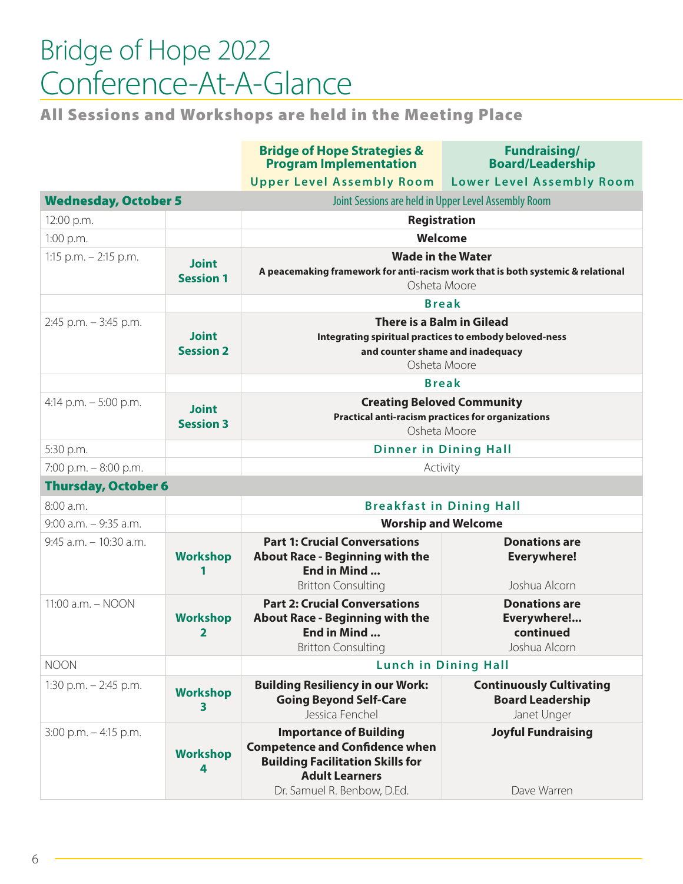## Bridge of Hope 2022 Conference-At-A-Glance

All Sessions and Workshops are held in the Meeting Place

|                             |                                  | <b>Bridge of Hope Strategies &amp;</b><br><b>Program Implementation</b>                                                                 | <b>Fundraising/</b><br><b>Board/Leadership</b> |  |
|-----------------------------|----------------------------------|-----------------------------------------------------------------------------------------------------------------------------------------|------------------------------------------------|--|
|                             |                                  | <b>Upper Level Assembly Room</b>                                                                                                        | <b>Lower Level Assembly Room</b>               |  |
| <b>Wednesday, October 5</b> |                                  | Joint Sessions are held in Upper Level Assembly Room                                                                                    |                                                |  |
| 12:00 p.m.                  |                                  | <b>Registration</b>                                                                                                                     |                                                |  |
| 1:00 p.m.                   |                                  | Welcome                                                                                                                                 |                                                |  |
| 1:15 p.m. $-$ 2:15 p.m.     | <b>Joint</b><br><b>Session 1</b> | <b>Wade in the Water</b><br>A peacemaking framework for anti-racism work that is both systemic & relational<br>Osheta Moore             |                                                |  |
|                             |                                  | <b>Break</b>                                                                                                                            |                                                |  |
| $2:45$ p.m. $-3:45$ p.m.    | <b>Joint</b><br><b>Session 2</b> | There is a Balm in Gilead<br>Integrating spiritual practices to embody beloved-ness<br>and counter shame and inadequacy<br>Osheta Moore |                                                |  |
|                             |                                  |                                                                                                                                         | <b>Break</b>                                   |  |
| 4:14 p.m. $-5:00$ p.m.      | <b>Joint</b><br><b>Session 3</b> | <b>Creating Beloved Community</b><br><b>Practical anti-racism practices for organizations</b><br>Osheta Moore                           |                                                |  |
| 5:30 p.m.                   |                                  | <b>Dinner in Dining Hall</b>                                                                                                            |                                                |  |
| 7:00 p.m. $-8:00$ p.m.      |                                  | Activity                                                                                                                                |                                                |  |
| <b>Thursday, October 6</b>  |                                  |                                                                                                                                         |                                                |  |
| 8:00a.m.                    |                                  | <b>Breakfast in Dining Hall</b>                                                                                                         |                                                |  |
|                             |                                  |                                                                                                                                         |                                                |  |

| $9:00$ a.m. $-9:35$ a.m.  |                      | <b>Worship and Welcome</b>                                                                                                                                                |                                                                           |
|---------------------------|----------------------|---------------------------------------------------------------------------------------------------------------------------------------------------------------------------|---------------------------------------------------------------------------|
| $9:45$ a.m. $-10:30$ a.m. | <b>Workshop</b>      | <b>Part 1: Crucial Conversations</b><br><b>About Race - Beginning with the</b><br>End in Mind<br><b>Britton Consulting</b>                                                | <b>Donations are</b><br><b>Everywhere!</b><br>Joshua Alcorn               |
| 11:00 a.m. - NOON         | <b>Workshop</b><br>2 | <b>Part 2: Crucial Conversations</b><br><b>About Race - Beginning with the</b><br>End in Mind<br><b>Britton Consulting</b>                                                | <b>Donations are</b><br>Everywhere!<br>continued<br>Joshua Alcorn         |
| <b>NOON</b>               |                      | <b>Lunch in Dining Hall</b>                                                                                                                                               |                                                                           |
| 1:30 p.m. $-$ 2:45 p.m.   | <b>Workshop</b><br>3 | <b>Building Resiliency in our Work:</b><br><b>Going Beyond Self-Care</b><br>Jessica Fenchel                                                                               | <b>Continuously Cultivating</b><br><b>Board Leadership</b><br>Janet Unger |
| $3:00$ p.m. $-4:15$ p.m.  | <b>Workshop</b><br>4 | <b>Importance of Building</b><br><b>Competence and Confidence when</b><br><b>Building Facilitation Skills for</b><br><b>Adult Learners</b><br>Dr. Samuel R. Benbow, D.Ed. | <b>Joyful Fundraising</b><br>Dave Warren                                  |